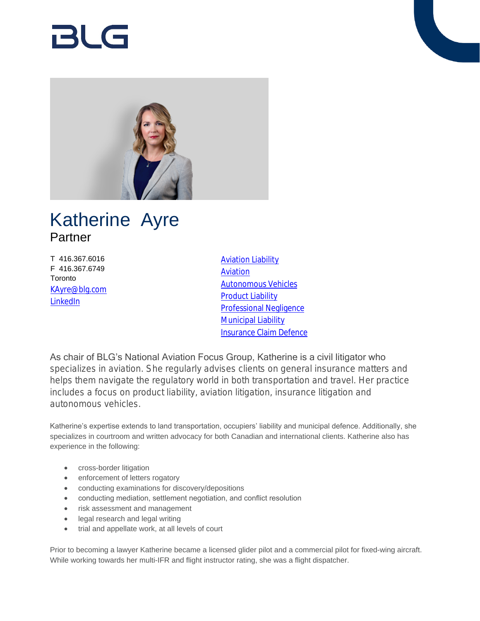# 121 G



## Katherine Ayre Partner

T 416.367.6016 F 416.367.6749 **Toronto** [KAyre@blg.com](mailto:KAyre@blg.com) [LinkedIn](http://ca.linkedin.com/in/katherineayretanchak)

[Aviation Liability](https://www.blg.com/en/services/practice-areas/disputes/aviation-liability) [Aviation](https://www.blg.com/en/services/industries/transportation/aviation) [Autonomous Vehicles](https://www.blg.com/en/services/industries/transportation/autonomous-vehicles) [Product Liability](https://www.blg.com/en/services/practice-areas/disputes/product-liability) [Professional Negligence](https://www.blg.com/en/services/practice-areas/disputes/professional-negligence) [Municipal Liability](https://www.blg.com/en/services/practice-areas/disputes/municipal-liability) [Insurance Claim Defence](https://www.blg.com/en/services/practice-areas/disputes/insurance-claim-defence)

As chair of BLG's National Aviation Focus Group, Katherine is a civil litigator who specializes in aviation. She regularly advises clients on general insurance matters and helps them navigate the regulatory world in both transportation and travel. Her practice includes a focus on product liability, aviation litigation, insurance litigation and autonomous vehicles.

Katherine's expertise extends to land transportation, occupiers' liability and municipal defence. Additionally, she specializes in courtroom and written advocacy for both Canadian and international clients. Katherine also has experience in the following:

- cross-border litigation
- enforcement of letters rogatory
- conducting examinations for discovery/depositions
- conducting mediation, settlement negotiation, and conflict resolution
- risk assessment and management
- legal research and legal writing
- trial and appellate work, at all levels of court

Prior to becoming a lawyer Katherine became a licensed glider pilot and a commercial pilot for fixed-wing aircraft. While working towards her multi-IFR and flight instructor rating, she was a flight dispatcher.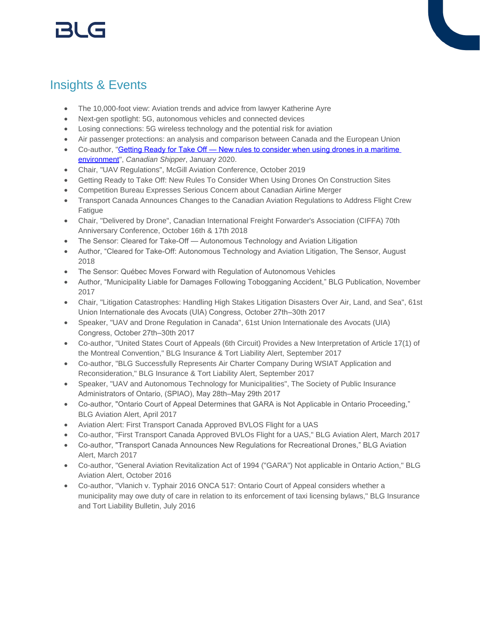## Insights & Events

- The 10,000-foot view: Aviation trends and advice from lawyer Katherine Ayre
- Next-gen spotlight: 5G, autonomous vehicles and connected devices
- Losing connections: 5G wireless technology and the potential risk for aviation
- Air passenger protections: an analysis and comparison between Canada and the European Union
- Co-author, "**Getting Ready for Take Off New rules to consider when using drones in a maritime** [environment](https://www.canadianshipper.com/wp-content/uploads/2020/01/CS-DE-20190101.pdf#page=24)", *Canadian Shipper*, January 2020.
- Chair, "UAV Regulations", McGill Aviation Conference, October 2019
- Getting Ready to Take Off: New Rules To Consider When Using Drones On Construction Sites
- Competition Bureau Expresses Serious Concern about Canadian Airline Merger
- Transport Canada Announces Changes to the Canadian Aviation Regulations to Address Flight Crew Fatigue
- Chair, "Delivered by Drone", Canadian International Freight Forwarder's Association (CIFFA) 70th Anniversary Conference, October 16th & 17th 2018
- The Sensor: Cleared for Take-Off Autonomous Technology and Aviation Litigation
- Author, "Cleared for Take-Off: Autonomous Technology and Aviation Litigation, The Sensor, August 2018
- The Sensor: Québec Moves Forward with Regulation of Autonomous Vehicles
- Author, "Municipality Liable for Damages Following Tobogganing Accident," BLG Publication, November 2017
- Chair, "Litigation Catastrophes: Handling High Stakes Litigation Disasters Over Air, Land, and Sea", 61st Union Internationale des Avocats (UIA) Congress, October 27th–30th 2017
- Speaker, "UAV and Drone Regulation in Canada", 61st Union Internationale des Avocats (UIA) Congress, October 27th–30th 2017
- Co-author, "United States Court of Appeals (6th Circuit) Provides a New Interpretation of Article 17(1) of the Montreal Convention," BLG Insurance & Tort Liability Alert, September 2017
- Co-author, "BLG Successfully Represents Air Charter Company During WSIAT Application and Reconsideration," BLG Insurance & Tort Liability Alert, September 2017
- Speaker, "UAV and Autonomous Technology for Municipalities", The Society of Public Insurance Administrators of Ontario, (SPIAO), May 28th–May 29th 2017
- Co-author, "Ontario Court of Appeal Determines that GARA is Not Applicable in Ontario Proceeding," BLG Aviation Alert, April 2017
- Aviation Alert: First Transport Canada Approved BVLOS Flight for a UAS
- Co-author, "First Transport Canada Approved BVLOs Flight for a UAS," BLG Aviation Alert, March 2017
- Co-author, "Transport Canada Announces New Regulations for Recreational Drones," BLG Aviation Alert, March 2017
- Co-author, "General Aviation Revitalization Act of 1994 ("GARA") Not applicable in Ontario Action," BLG Aviation Alert, October 2016
- Co-author, "Vlanich v. Typhair 2016 ONCA 517: Ontario Court of Appeal considers whether a municipality may owe duty of care in relation to its enforcement of taxi licensing bylaws," BLG Insurance and Tort Liability Bulletin, July 2016